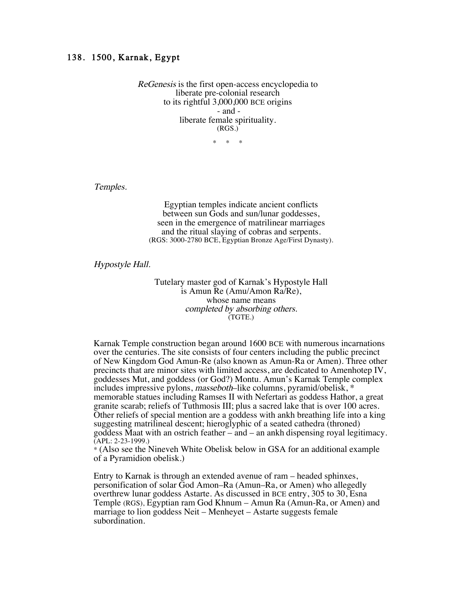## 138. 1500, Karnak, Egypt

ReGenesis is the first open-access encyclopedia to liberate pre-colonial research to its rightful 3,000,000 BCE origins - and liberate female spirituality. (RGS.)

 $*$ 

Temples.

Egyptian temples indicate ancient conflicts between sun Gods and sun/lunar goddesses, seen in the emergence of matrilinear marriages and the ritual slaying of cobras and serpents. (RGS: 3000-2780 BCE, Egyptian Bronze Age/First Dynasty).

Hypostyle Hall.

Tutelary master god of Karnak's Hypostyle Hall is Amun Re (Amu/Amon Ra/Re), whose name means completed by absorbing others. (TGTE.)

Karnak Temple construction began around 1600 BCE with numerous incarnations over the centuries. The site consists of four centers including the public precinct of New Kingdom God Amun-Re (also known as Amun-Ra or Amen). Three other precincts that are minor sites with limited access, are dedicated to Amenhotep IV, goddesses Mut, and goddess (or God?) Montu. Amun's Karnak Temple complex includes impressive pylons, masseboth–like columns, pyramid/obelisk, \* memorable statues including Ramses II with Nefertari as goddess Hathor, a great granite scarab; reliefs of Tuthmosis III; plus a sacred lake that is over 100 acres. Other reliefs of special mention are a goddess with ankh breathing life into a king suggesting matrilineal descent; hieroglyphic of a seated cathedra (throned) goddess Maat with an ostrich feather – and – an ankh dispensing royal legitimacy. (APL: 2-23-1999.)

\* (Also see the Nineveh White Obelisk below in GSA for an additional example of a Pyramidion obelisk.)

Entry to Karnak is through an extended avenue of ram – headed sphinxes, personification of solar God Amon–Ra (Amun–Ra, or Amen) who allegedly overthrew lunar goddess Astarte. As discussed in BCE entry, 305 to 30, Esna Temple (RGS), Egyptian ram God Khnum – Amun Ra (Amun-Ra, or Amen) and marriage to lion goddess Neit – Menheyet – Astarte suggests female subordination.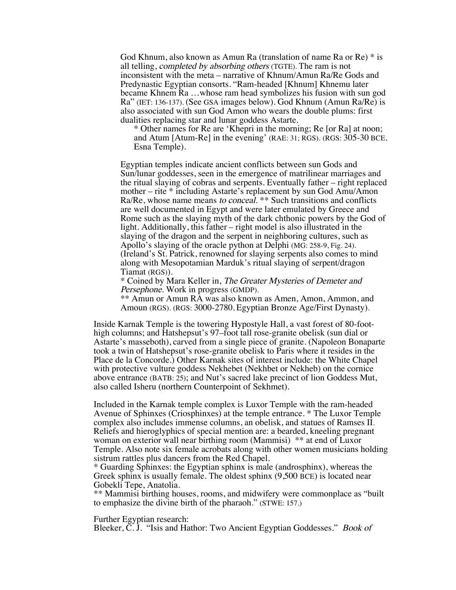God Khnum, also known as Amun Ra (translation of name Ra or Re) \* is all telling, completed by absorbing others (TGTE). The ram is not inconsistent with the meta – narrative of Khnum/Amun Ra/Re Gods and Predynastic Egyptian consorts. "Ram-headed [Khnum] Khnemu later became Khnem Ra …whose ram head symbolizes his fusion with sun god Ra" (IET: 136-137). (See GSA images below). God Khnum (Amun Ra/Re) is also associated with sun God Amon who wears the double plums: first dualities replacing star and lunar goddess Astarte.

\* Other names for Re are 'Khepri in the morning; Re [or Ra] at noon; and Atum [Atum-Re] in the evening' (RAE: 31; RGS). (RGS: 305-30 BCE, Esna Temple).

Egyptian temples indicate ancient conflicts between sun Gods and Sun/lunar goddesses, seen in the emergence of matrilinear marriages and the ritual slaying of cobras and serpents. Eventually father – right replaced mother – rite \* including Astarte's replacement by sun God Amu/Amon Ra/Re, whose name means to conceal. \*\* Such transitions and conflicts are well documented in Egypt and were later emulated by Greece and Rome such as the slaying myth of the dark chthonic powers by the God of light. Additionally, this father – right model is also illustrated in the slaying of the dragon and the serpent in neighboring cultures, such as Apollo's slaying of the oracle python at Delphi (MG: 258-9, Fig. 24). (Ireland's St. Patrick, renowned for slaying serpents also comes to mind along with Mesopotamian Marduk's ritual slaying of serpent/dragon Tiamat (RGS)).

\* Coined by Mara Keller in, The Greater Mysteries of Demeter and Persephone. Work in progress (GMDP).

\*\* Amun or Amun RA was also known as Amen, Amon, Ammon, and Amoun (RGS). (RGS: 3000-2780, Egyptian Bronze Age/First Dynasty).

Inside Karnak Temple is the towering Hypostyle Hall, a vast forest of 80-foothigh columns; and Hatshepsut's 97–foot tall rose-granite obelisk (sun dial or Astarte's masseboth), carved from a single piece of granite. (Napoleon Bonaparte took a twin of Hatshepsut's rose-granite obelisk to Paris where it resides in the Place de la Concorde.) Other Karnak sites of interest include: the White Chapel with protective vulture goddess Nekhebet (Nekhbet or Nekheb) on the cornice above entrance (BATB: 25); and Nut's sacred lake precinct of lion Goddess Mut, also called Isheru (northern Counterpoint of Sekhmet).

Included in the Karnak temple complex is Luxor Temple with the ram-headed Avenue of Sphinxes (Criosphinxes) at the temple entrance. \* The Luxor Temple complex also includes immense columns, an obelisk, and statues of Ramses II. Reliefs and hieroglyphics of special mention are: a bearded, kneeling pregnant woman on exterior wall near birthing room (Mammisi) \*\* at end of Luxor Temple. Also note six female acrobats along with other women musicians holding sistrum rattles plus dancers from the Red Chapel.

\* Guarding Sphinxes: the Egyptian sphinx is male (androsphinx), whereas the Greek sphinx is usually female. The oldest sphinx (9,500 BCE) is located near Gobekli Tepe, Anatolia.

\*\* Mammisi birthing houses, rooms, and midwifery were commonplace as "built to emphasize the divine birth of the pharaoh." (STWE: 157.)

Further Egyptian research:

Bleeker, C. J. "Isis and Hathor: Two Ancient Egyptian Goddesses." Book of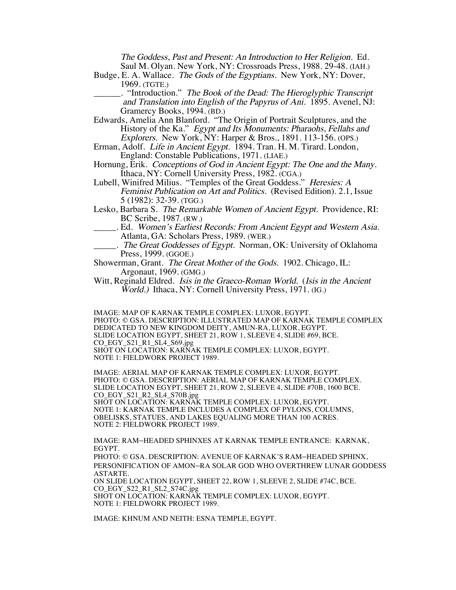The Goddess, Past and Present: An Introduction to Her Religion. Ed. Saul M. Olyan. New York, NY: Crossroads Press, 1988. 29-48. (IAH.)

- Budge, E. A. Wallace. The Gods of the Egyptians. New York, NY: Dover, 1969. (TGTE.)
	- \_\_\_\_\_\_. "Introduction." The Book of the Dead: The Hieroglyphic Transcript and Translation into English of the Papyrus of Ani. 1895. Avenel, NJ: Gramercy Books, 1994. (BD.)
- Edwards, Amelia Ann Blanford. "The Origin of Portrait Sculptures, and the History of the Ka." Egypt and Its Monuments: Pharaohs, Fellahs and Explorers. New York, NY: Harper & Bros., 1891. 113-156. (OPS.)
- Erman, Adolf. Life in Ancient Egypt. 1894. Tran. H. M. Tirard. London, England: Constable Publications, 1971. (LIAE.)
- Hornung, Erik. Conceptions of God in Ancient Egypt: The One and the Many. Ithaca, NY: Cornell University Press, 1982. (CGA.)
- Lubell, Winifred Milius. "Temples of the Great Goddess." Heresies: A Feminist Publication on Art and Politics. (Revised Edition). 2.1, Issue 5 (1982): 32-39. (TGG.)
- Lesko, Barbara S. The Remarkable Women of Ancient Egypt. Providence, RI: BC Scribe, 1987. (RW.)
	- \_\_\_\_\_. Ed. Women's Earliest Records: From Ancient Egypt and Western Asia. Atlanta, GA: Scholars Press, 1989. (WER.)
	- .. The Great Goddesses of Egypt. Norman, OK: University of Oklahoma Press, 1999. (GGOE.)
- Showerman, Grant. The Great Mother of the Gods. 1902. Chicago, IL: Argonaut, 1969. (GMG.)
- Witt, Reginald Eldred. *Isis in the Graeco-Roman World.* (*Isis in the Ancient* World.) Ithaca, NY: Cornell University Press, 1971. (IG.)

IMAGE: MAP OF KARNAK TEMPLE COMPLEX: LUXOR, EGYPT. PHOTO: © GSA. DESCRIPTION: ILLUSTRATED MAP OF KARNAK TEMPLE COMPLEX DEDICATED TO NEW KINGDOM DEITY, AMUN-RA, LUXOR, EGYPT. SLIDE LOCATION EGYPT, SHEET 21, ROW 1, SLEEVE 4, SLIDE #69, BCE. CO\_EGY\_S21\_R1\_SL4\_S69.jpg SHOT ON LOCATION: KARNAK TEMPLE COMPLEX: LUXOR, EGYPT. NOTE 1: FIELDWORK PROJECT 1989.

IMAGE: AERIAL MAP OF KARNAK TEMPLE COMPLEX: LUXOR, EGYPT. PHOTO: © GSA. DESCRIPTION: AERIAL MAP OF KARNAK TEMPLE COMPLEX. SLIDE LOCATION EGYPT, SHEET 21, ROW 2, SLEEVE 4, SLIDE #70B, 1600 BCE. CO\_EGY\_S21\_R2\_SL4\_S70B.jpg

SHOT ON LOCATION: KARNAK TEMPLE COMPLEX: LUXOR, EGYPT. NOTE 1: KARNAK TEMPLE INCLUDES A COMPLEX OF PYLONS, COLUMNS, OBELISKS, STATUES, AND LAKES EQUALING MORE THAN 100 ACRES. NOTE 2: FIELDWORK PROJECT 1989.

IMAGE: RAM–HEADED SPHINXES AT KARNAK TEMPLE ENTRANCE: KARNAK, EGYPT.

PHOTO: © GSA. DESCRIPTION: AVENUE OF KARNAK'S RAM–HEADED SPHINX, PERSONIFICATION OF AMON–RA SOLAR GOD WHO OVERTHREW LUNAR GODDESS ASTARTE.

ON SLIDE LOCATION EGYPT, SHEET 22, ROW 1, SLEEVE 2, SLIDE #74C, BCE. CO\_EGY\_S22\_R1\_SL2\_S74C.jpg

SHOT ON LOCATION: KARNAK TEMPLE COMPLEX: LUXOR, EGYPT. NOTE 1: FIELDWORK PROJECT 1989.

IMAGE: KHNUM AND NEITH: ESNA TEMPLE, EGYPT.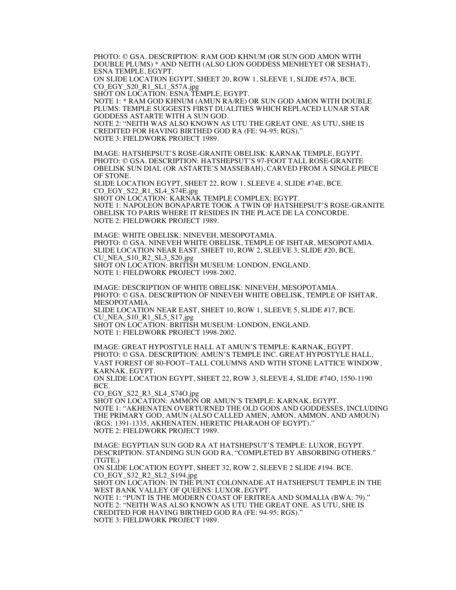PHOTO: © GSA. DESCRIPTION: RAM GOD KHNUM (OR SUN GOD AMON WITH DOUBLE PLUMS) \* AND NEITH (ALSO LION GODDESS MENHEYET OR SESHAT), ESNA TEMPLE, EGYPT.

ON SLIDE LOCATION EGYPT, SHEET 20, ROW 1, SLEEVE 1, SLIDE #57A, BCE. CO\_EGY\_S20\_R1\_SL1\_S57A.jpg

SHOT ON LOCATION: ESNA TEMPLE, EGYPT.

NOTE 1: \* RAM GOD KHNUM (AMUN RA/RE) OR SUN GOD AMON WITH DOUBLE PLUMS: TEMPLE SUGGESTS FIRST DUALITIES WHICH REPLACED LUNAR STAR GODDESS ASTARTE WITH A SUN GOD.

NOTE 2: "NEITH WAS ALSO KNOWN AS UTU THE GREAT ONE. AS UTU, SHE IS CREDITED FOR HAVING BIRTHED GOD RA (FE: 94-95; RGS)." NOTE 3: FIELDWORK PROJECT 1989.

IMAGE: HATSHEPSUT'S ROSE-GRANITE OBELISK: KARNAK TEMPLE, EGYPT. PHOTO: © GSA. DESCRIPTION: HATSHEPSUT'S 97-FOOT TALL ROSE-GRANITE OBELISK SUN DIAL (OR ASTARTE'S MASSEBAH), CARVED FROM A SINGLE PIECE OF STONE.

SLIDE LOCATION EGYPT, SHEET 22, ROW 1, SLEEVE 4, SLIDE #74E, BCE. CO\_EGY\_S22\_R1\_SL4\_S74E.jpg

SHOT ON LOCATION: KARNAK TEMPLE COMPLEX: EGYPT. NOTE 1: NAPOLEON BONAPARTE TOOK A TWIN OF HATSHEPSUT'S ROSE-GRANITE OBELISK TO PARIS WHERE IT RESIDES IN THE PLACE DE LA CONCORDE. NOTE 2: FIELDWORK PROJECT 1989.

IMAGE: WHITE OBELISK: NINEVEH, MESOPOTAMIA. PHOTO: © GSA. NINEVEH WHITE OBELISK, TEMPLE OF ISHTAR, MESOPOTAMIA. SLIDE LOCATION NEAR EAST, SHEET 10, ROW 2, SLEEVE 3, SLIDE #20, BCE. CU\_NEA\_S10\_R2\_SL3\_S20.jpg SHOT ON LOCATION: BRITISH MUSEUM: LONDON, ENGLAND. NOTE 1: FIELDWORK PROJECT 1998-2002.

IMAGE: DESCRIPTION OF WHITE OBELISK: NINEVEH, MESOPOTAMIA. PHOTO: © GSA. DESCRIPTION OF NINEVEH WHITE OBELISK, TEMPLE OF ISHTAR, MESOPOTAMIA. SLIDE LOCATION NEAR EAST, SHEET 10, ROW 1, SLEEVE 5, SLIDE #17, BCE. CU\_NEA\_S10\_R1\_SL5\_S17.jpg SHOT ON LOCATION: BRITISH MUSEUM: LONDON, ENGLAND. NOTE 1: FIELDWORK PROJECT 1998-2002.

IMAGE: GREAT HYPOSTYLE HALL AT AMUN'S TEMPLE: KARNAK, EGYPT. PHOTO: © GSA. DESCRIPTION: AMUN'S TEMPLE INC. GREAT HYPOSTYLE HALL, VAST FOREST OF 80-FOOT–TALL COLUMNS AND WITH STONE LATTICE WINDOW, KARNAK, EGYPT.

ON SLIDE LOCATION EGYPT, SHEET 22, ROW 3, SLEEVE 4, SLIDE #74O, 1550-1190 BCE.

CO\_EGY\_S22\_R3\_SL4\_S74O.jpg

SHOT ON LOCATION: AMMON OR AMUN'S TEMPLE: KARNAK, EGYPT. NOTE 1: "AKHENATEN OVERTURNED THE OLD GODS AND GODDESSES, INCLUDING THE PRIMARY GOD, AMUN (ALSO CALLED AMEN, AMON, AMMON, AND AMOUN) (RGS: 1391-1335, AKHENATEN, HERETIC PHARAOH OF EGYPT)." NOTE 2: FIELDWORK PROJECT 1989.

IMAGE: EGYPTIAN SUN GOD RA AT HATSHEPSUT'S TEMPLE: LUXOR, EGYPT. DESCRIPTION: STANDING SUN GOD RA, "COMPLETED BY ABSORBING OTHERS." (TGTE.) ON SLIDE LOCATION EGYPT, SHEET 32, ROW 2, SLEEVE 2 SLIDE #194. BCE. CO\_EGY\_S32\_R2\_SL2\_S194.jpg SHOT ON LOCATION: IN THE PUNT COLONNADE AT HATSHEPSUT TEMPLE IN THE WEST BANK VALLEY OF QUEENS: LUXOR, EGYPT. NOTE 1: "PUNT IS THE MODERN COAST OF ERITREA AND SOMALIA (BWA: 79)." NOTE 2: "NEITH WAS ALSO KNOWN AS UTU THE GREAT ONE. AS UTU, SHE IS

CREDITED FOR HAVING BIRTHED GOD RA (FE: 94-95; RGS)." NOTE 3: FIELDWORK PROJECT 1989.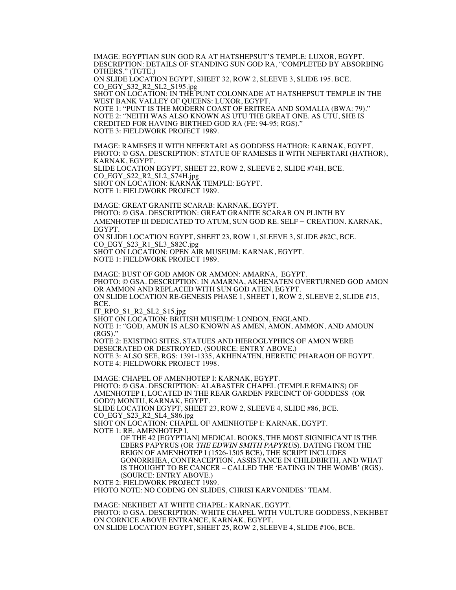IMAGE: EGYPTIAN SUN GOD RA AT HATSHEPSUT'S TEMPLE: LUXOR, EGYPT. DESCRIPTION: DETAILS OF STANDING SUN GOD RA, "COMPLETED BY ABSORBING OTHERS." (TGTE.)

ON SLIDE LOCATION EGYPT, SHEET 32, ROW 2, SLEEVE 3, SLIDE 195. BCE. CO\_EGY\_S32\_R2\_SL2\_S195.jpg

SHOT ON LOCATION: IN THE PUNT COLONNADE AT HATSHEPSUT TEMPLE IN THE WEST BANK VALLEY OF QUEENS: LUXOR, EGYPT.

NOTE 1: "PUNT IS THE MODERN COAST OF ERITREA AND SOMALIA (BWA: 79)." NOTE 2: "NEITH WAS ALSO KNOWN AS UTU THE GREAT ONE. AS UTU, SHE IS CREDITED FOR HAVING BIRTHED GOD RA (FE: 94-95; RGS)." NOTE 3: FIELDWORK PROJECT 1989.

IMAGE: RAMESES II WITH NEFERTARI AS GODDESS HATHOR: KARNAK, EGYPT. PHOTO: © GSA. DESCRIPTION: STATUE OF RAMESES II WITH NEFERTARI (HATHOR), KARNAK, EGYPT. SLIDE LOCATION EGYPT, SHEET 22, ROW 2, SLEEVE 2, SLIDE #74H, BCE. CO\_EGY\_S22\_R2\_SL2\_S74H.jpg SHOT ON LOCATION: KARNAK TEMPLE: EGYPT. NOTE 1: FIELDWORK PROJECT 1989.

IMAGE: GREAT GRANITE SCARAB: KARNAK, EGYPT. PHOTO: © GSA. DESCRIPTION: GREAT GRANITE SCARAB ON PLINTH BY AMENHOTEP III DEDICATED TO ATUM, SUN GOD RE. SELF – CREATION. KARNAK, EGYPT. ON SLIDE LOCATION EGYPT, SHEET 23, ROW 1, SLEEVE 3, SLIDE #82C, BCE.

CO\_EGY\_S23\_R1\_SL3\_S82C.jpg SHOT ON LOCATION: OPEN AIR MUSEUM: KARNAK, EGYPT. NOTE 1: FIELDWORK PROJECT 1989.

IMAGE: BUST OF GOD AMON OR AMMON: AMARNA, EGYPT. PHOTO: © GSA. DESCRIPTION: IN AMARNA, AKHENATEN OVERTURNED GOD AMON OR AMMON AND REPLACED WITH SUN GOD ATEN, EGYPT. ON SLIDE LOCATION RE-GENESIS PHASE 1, SHEET 1, ROW 2, SLEEVE 2, SLIDE #15, BCE. IT\_RPO\_S1\_R2\_SL2\_S15.jpg

SHOT ON LOCATION: BRITISH MUSEUM: LONDON, ENGLAND. NOTE 1: "GOD, AMUN IS ALSO KNOWN AS AMEN, AMON, AMMON, AND AMOUN (RGS)." NOTE 2: EXISTING SITES, STATUES AND HIEROGLYPHICS OF AMON WERE DESECRATED OR DESTROYED. (SOURCE: ENTRY ABOVE.) NOTE 3: ALSO SEE, RGS: 1391-1335, AKHENATEN, HERETIC PHARAOH OF EGYPT. NOTE 4: FIELDWORK PROJECT 1998.

IMAGE: CHAPEL OF AMENHOTEP I: KARNAK, EGYPT. PHOTO: © GSA. DESCRIPTION: ALABASTER CHAPEL (TEMPLE REMAINS) OF AMENHOTEP I, LOCATED IN THE REAR GARDEN PRECINCT OF GODDESS (OR GOD?) MONTU, KARNAK, EGYPT. SLIDE LOCATION EGYPT, SHEET 23, ROW 2, SLEEVE 4, SLIDE #86, BCE. CO\_EGY\_S23\_R2\_SL4\_S86.jpg SHOT ON LOCATION: CHAPEL OF AMENHOTEP I: KARNAK, EGYPT. NOTE 1: RE. AMENHOTEP I. OF THE 42 [EGYPTIAN] MEDICAL BOOKS, THE MOST SIGNIFICANT IS THE EBERS PAPYRUS (OR THE EDWIN SMITH PAPYRUS). DATING FROM THE REIGN OF AMENHOTEP I (1526-1505 BCE), THE SCRIPT INCLUDES GONORRHEA, CONTRACEPTION, ASSISTANCE IN CHILDBIRTH, AND WHAT IS THOUGHT TO BE CANCER – CALLED THE 'EATING IN THE WOMB' (RGS). (SOURCE: ENTRY ABOVE.) NOTE 2: FIELDWORK PROJECT 1989. PHOTO NOTE: NO CODING ON SLIDES, CHRISI KARVONIDES' TEAM.

IMAGE: NEKHBET AT WHITE CHAPEL: KARNAK, EGYPT. PHOTO: © GSA. DESCRIPTION: WHITE CHAPEL WITH VULTURE GODDESS, NEKHBET ON CORNICE ABOVE ENTRANCE, KARNAK, EGYPT. ON SLIDE LOCATION EGYPT, SHEET 25, ROW 2, SLEEVE 4, SLIDE #106, BCE.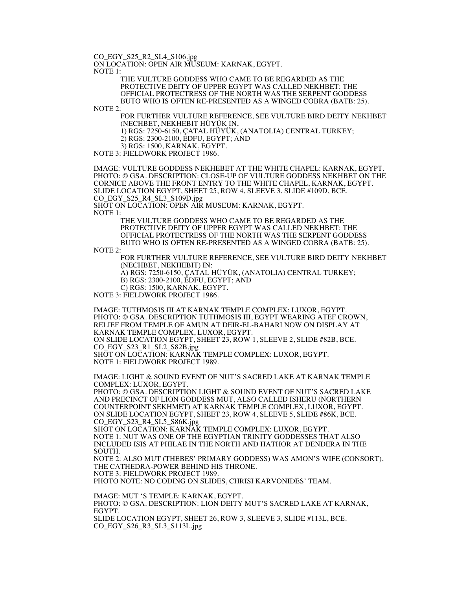CO\_EGY\_S25\_R2\_SL4\_S106.jpg

ON LOCATION: OPEN AIR MUSEUM: KARNAK, EGYPT.

NOTE 1:

THE VULTURE GODDESS WHO CAME TO BE REGARDED AS THE PROTECTIVE DEITY OF UPPER EGYPT WAS CALLED NEKHBET: THE OFFICIAL PROTECTRESS OF THE NORTH WAS THE SERPENT GODDESS BUTO WHO IS OFTEN RE-PRESENTED AS A WINGED COBRA (BATB: 25).

NOTE 2:

FOR FURTHER VULTURE REFERENCE, SEE VULTURE BIRD DEITY NEKHBET (NECHBET, NEKHEBIT HÜYÜK IN,

1) RGS: 7250-6150, ÇATAL HÜYÜK, (ANATOLIA) CENTRAL TURKEY;

2) RGS: 2300-2100, EDFU, EGYPT; AND

3) RGS: 1500, KARNAK, EGYPT.

NOTE 3: FIELDWORK PROJECT 1986.

IMAGE: VULTURE GODDESS NEKHEBET AT THE WHITE CHAPEL: KARNAK, EGYPT. PHOTO: © GSA. DESCRIPTION: CLOSE-UP OF VULTURE GODDESS NEKHBET ON THE CORNICE ABOVE THE FRONT ENTRY TO THE WHITE CHAPEL, KARNAK, EGYPT. SLIDE LOCATION EGYPT, SHEET 25, ROW 4, SLEEVE 3, SLIDE #109D, BCE.

CO\_EGY\_S25\_R4\_SL3\_S109D.jpg

SHOT ON LOCATION: OPEN AIR MUSEUM: KARNAK, EGYPT.  $NOTE$  1.

THE VULTURE GODDESS WHO CAME TO BE REGARDED AS THE PROTECTIVE DEITY OF UPPER EGYPT WAS CALLED NEKHBET: THE OFFICIAL PROTECTRESS OF THE NORTH WAS THE SERPENT GODDESS BUTO WHO IS OFTEN RE-PRESENTED AS A WINGED COBRA (BATB: 25).

NOTE 2:

FOR FURTHER VULTURE REFERENCE, SEE VULTURE BIRD DEITY NEKHBET (NECHBET, NEKHEBIT) IN:

A) RGS: 7250-6150, ÇATAL HÜYÜK, (ANATOLIA) CENTRAL TURKEY;

B) RGS: 2300-2100, EDFU, EGYPT; AND

C) RGS: 1500, KARNAK, EGYPT.

NOTE 3: FIELDWORK PROJECT 1986.

IMAGE: TUTHMOSIS III AT KARNAK TEMPLE COMPLEX: LUXOR, EGYPT. PHOTO: © GSA. DESCRIPTION TUTHMOSIS III, EGYPT WEARING ATEF CROWN, RELIEF FROM TEMPLE OF AMUN AT DEIR-EL-BAHARI NOW ON DISPLAY AT KARNAK TEMPLE COMPLEX, LUXOR, EGYPT.

ON SLIDE LOCATION EGYPT, SHEET 23, ROW 1, SLEEVE 2, SLIDE #82B, BCE. CO\_EGY\_S23\_R1\_SL2\_S82B.jpg

SHOT ON LOCATION: KARNAK TEMPLE COMPLEX: LUXOR, EGYPT. NOTE 1: FIELDWORK PROJECT 1989.

IMAGE: LIGHT & SOUND EVENT OF NUT'S SACRED LAKE AT KARNAK TEMPLE COMPLEX: LUXOR, EGYPT.

PHOTO: © GSA. DESCRIPTION LIGHT & SOUND EVENT OF NUT'S SACRED LAKE AND PRECINCT OF LION GODDESS MUT, ALSO CALLED ISHERU (NORTHERN COUNTERPOINT SEKHMET) AT KARNAK TEMPLE COMPLEX, LUXOR, EGYPT. ON SLIDE LOCATION EGYPT, SHEET 23, ROW 4, SLEEVE 5, SLIDE #86K, BCE. CO\_EGY\_S23\_R4\_SL5\_S86K.jpg

SHOT ON LOCATION: KARNAK TEMPLE COMPLEX: LUXOR, EGYPT. NOTE 1: NUT WAS ONE OF THE EGYPTIAN TRINITY GODDESSES THAT ALSO INCLUDED ISIS AT PHILAE IN THE NORTH AND HATHOR AT DENDERA IN THE SOUTH.

NOTE 2: ALSO MUT (THEBES' PRIMARY GODDESS) WAS AMON'S WIFE (CONSORT), THE CATHEDRA-POWER BEHIND HIS THRONE. NOTE 3: FIELDWORK PROJECT 1989.

PHOTO NOTE: NO CODING ON SLIDES, CHRISI KARVONIDES' TEAM.

IMAGE: MUT 'S TEMPLE: KARNAK, EGYPT. PHOTO: © GSA. DESCRIPTION: LION DEITY MUT'S SACRED LAKE AT KARNAK, EGYPT. SLIDE LOCATION EGYPT, SHEET 26, ROW 3, SLEEVE 3, SLIDE #113L, BCE. CO\_EGY\_S26\_R3\_SL3\_S113L.jpg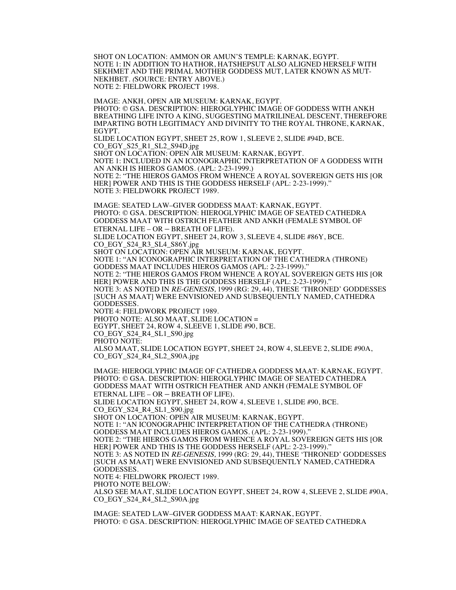SHOT ON LOCATION: AMMON OR AMUN'S TEMPLE: KARNAK, EGYPT. NOTE 1: IN ADDITION TO HATHOR, HATSHEPSUT ALSO ALIGNED HERSELF WITH SEKHMET AND THE PRIMAL MOTHER GODDESS MUT, LATER KNOWN AS MUT-NEKHBET. (SOURCE: ENTRY ABOVE.) NOTE 2: FIELDWORK PROJECT 1998.

IMAGE: ANKH, OPEN AIR MUSEUM: KARNAK, EGYPT. PHOTO: © GSA. DESCRIPTION: HIEROGLYPHIC IMAGE OF GODDESS WITH ANKH BREATHING LIFE INTO A KING, SUGGESTING MATRILINEAL DESCENT, THEREFORE IMPARTING BOTH LEGITIMACY AND DIVINITY TO THE ROYAL THRONE, KARNAK, EGYPT.

SLIDE LOCATION EGYPT, SHEET 25, ROW 1, SLEEVE 2, SLIDE #94D, BCE. CO\_EGY\_S25\_R1\_SL2\_S94D.jpg

SHOT ON LOCATION: OPEN AIR MUSEUM: KARNAK, EGYPT.

NOTE 1: INCLUDED IN AN ICONOGRAPHIC INTERPRETATION OF A GODDESS WITH AN ANKH IS HIEROS GAMOS. (APL: 2-23-1999.)

NOTE 2: "THE HIEROS GAMOS FROM WHENCE A ROYAL SOVEREIGN GETS HIS [OR HER] POWER AND THIS IS THE GODDESS HERSELF (APL: 2-23-1999)." NOTE 3: FIELDWORK PROJECT 1989.

IMAGE: SEATED LAW–GIVER GODDESS MAAT: KARNAK, EGYPT. PHOTO: © GSA. DESCRIPTION: HIEROGLYPHIC IMAGE OF SEATED CATHEDRA GODDESS MAAT WITH OSTRICH FEATHER AND ANKH (FEMALE SYMBOL OF ETERNAL LIFE – OR – BREATH OF LIFE). SLIDE LOCATION EGYPT, SHEET 24, ROW 3, SLEEVE 4, SLIDE #86Y, BCE. CO\_EGY\_S24\_R3\_SL4\_S86Y.jpg SHOT ON LOCATION: OPEN AIR MUSEUM: KARNAK, EGYPT. NOTE 1: "AN ICONOGRAPHIC INTERPRETATION OF THE CATHEDRA (THRONE) GODDESS MAAT INCLUDES HIEROS GAMOS (APL: 2-23-1999)." NOTE 2: "THE HIEROS GAMOS FROM WHENCE A ROYAL SOVEREIGN GETS HIS [OR HER] POWER AND THIS IS THE GODDESS HERSELF (APL: 2-23-1999)." NOTE 3: AS NOTED IN RE-GENESIS, 1999 (RG: 29, 44), THESE 'THRONED' GODDESSES [SUCH AS MAAT] WERE ENVISIONED AND SUBSEQUENTLY NAMED, CATHEDRA GODDESSES.

NOTE 4: FIELDWORK PROJECT 1989. PHOTO NOTE: ALSO MAAT, SLIDE LOCATION = EGYPT, SHEET 24, ROW 4, SLEEVE 1, SLIDE #90, BCE. CO\_EGY\_S24\_R4\_SL1\_S90.jpg PHOTO NOTE: ALSO MAAT, SLIDE LOCATION EGYPT, SHEET 24, ROW 4, SLEEVE 2, SLIDE #90A, CO\_EGY\_S24\_R4\_SL2\_S90A.jpg

IMAGE: HIEROGLYPHIC IMAGE OF CATHEDRA GODDESS MAAT: KARNAK, EGYPT. PHOTO: © GSA. DESCRIPTION: HIEROGLYPHIC IMAGE OF SEATED CATHEDRA GODDESS MAAT WITH OSTRICH FEATHER AND ANKH (FEMALE SYMBOL OF ETERNAL LIFE – OR – BREATH OF LIFE). SLIDE LOCATION EGYPT, SHEET 24, ROW 4, SLEEVE 1, SLIDE #90, BCE. CO\_EGY\_S24\_R4\_SL1\_S90.jpg SHOT ON LOCATION: OPEN AIR MUSEUM: KARNAK, EGYPT.

NOTE 1: "AN ICONOGRAPHIC INTERPRETATION OF THE CATHEDRA (THRONE) GODDESS MAAT INCLUDES HIEROS GAMOS. (APL: 2-23-1999)."

NOTE 2: "THE HIEROS GAMOS FROM WHENCE A ROYAL SOVEREIGN GETS HIS [OR HER] POWER AND THIS IS THE GODDESS HERSELF (APL: 2-23-1999)."

NOTE 3: AS NOTED IN RE-GENESIS, 1999 (RG: 29, 44), THESE 'THRONED' GODDESSES [SUCH AS MAAT] WERE ENVISIONED AND SUBSEQUENTLY NAMED, CATHEDRA GODDESSES.

NOTE 4: FIELDWORK PROJECT 1989.

PHOTO NOTE BELOW:

ALSO SEE MAAT, SLIDE LOCATION EGYPT, SHEET 24, ROW 4, SLEEVE 2, SLIDE #90A, CO\_EGY\_S24\_R4\_SL2\_S90A.jpg

IMAGE: SEATED LAW–GIVER GODDESS MAAT: KARNAK, EGYPT. PHOTO: © GSA. DESCRIPTION: HIEROGLYPHIC IMAGE OF SEATED CATHEDRA